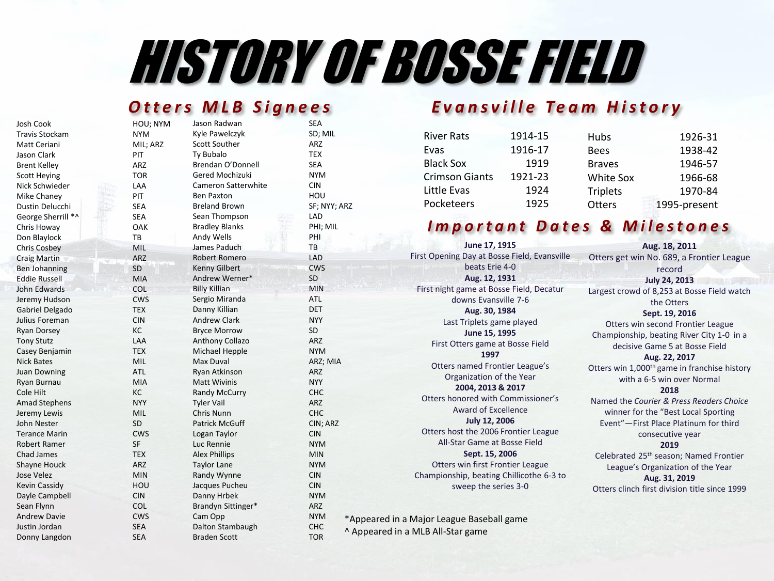# HISTORY OF BOSSE FIELD

| Josh Cook             | HOU; NYM   | Jason Radwan          | <b>SEA</b>          |
|-----------------------|------------|-----------------------|---------------------|
| <b>Travis Stockam</b> | <b>NYM</b> | Kyle Pawelczyk        | SD; MIL             |
| Matt Ceriani          | MIL; ARZ   | Scott Souther         | ARZ                 |
| Jason Clark           | PIT        | Ty Bubalo             | <b>TEX</b>          |
| <b>Brent Kelley</b>   | ARZ        | Brendan O'Donnell     | <b>SEA</b>          |
| <b>Scott Heying</b>   | <b>TOR</b> | Gered Mochizuki       | <b>NYM</b>          |
| Nick Schwieder        | LAA        | Cameron Satterwhite   | <b>CIN</b>          |
| Mike Chaney           | PIT        | <b>Ben Paxton</b>     | HOU                 |
| Dustin Delucchi       | <b>SEA</b> | <b>Breland Brown</b>  | SF; NYY; ARZ        |
| George Sherrill *^    | <b>SEA</b> | Sean Thompson         | LAD                 |
| Chris Howay           | OAK        | <b>Bradley Blanks</b> | PHI; MIL            |
| Don Blaylock          | TB         | Andy Wells            | PHI                 |
| <b>Chris Cosbey</b>   | MIL        | James Paduch          | TB                  |
| <b>Craig Martin</b>   | ARZ        | Robert Romero         | LAD                 |
| <b>Ben Johanning</b>  | <b>SD</b>  | <b>Kenny Gilbert</b>  | <b>CWS</b>          |
| <b>Eddie Russell</b>  | <b>MIA</b> | Andrew Werner*        | SD                  |
| John Edwards          | COL        | <b>Billy Killian</b>  | <b>MIN</b>          |
| Jeremy Hudson         | <b>CWS</b> | Sergio Miranda        | <b>ATL</b>          |
| Gabriel Delgado       | <b>TEX</b> | Danny Killian         | <b>DET</b>          |
| Julius Foreman        | <b>CIN</b> | <b>Andrew Clark</b>   | <b>NYY</b>          |
| <b>Ryan Dorsey</b>    | KC         | <b>Bryce Morrow</b>   | <b>SD</b>           |
| <b>Tony Stutz</b>     | LAA        | Anthony Collazo       | <b>ARZ</b>          |
| Casey Benjamin        | <b>TEX</b> | Michael Hepple        | <b>NYM</b>          |
| <b>Nick Bates</b>     | <b>MIL</b> | Max Duval             | ARZ; MIA            |
| <b>Juan Downing</b>   | <b>ATL</b> | Ryan Atkinson         | <b>ARZ</b>          |
| Ryan Burnau           | <b>MIA</b> | <b>Matt Wivinis</b>   | <b>NYY</b>          |
| Cole Hilt             | KC         | <b>Randy McCurry</b>  | <b>CHC</b>          |
| <b>Amad Stephens</b>  | <b>NYY</b> | <b>Tyler Vail</b>     | <b>ARZ</b>          |
| Jeremy Lewis          | <b>MIL</b> | Chris Nunn            | <b>CHC</b>          |
| John Nester           | <b>SD</b>  | <b>Patrick McGuff</b> | CIN; ARZ            |
| <b>Terance Marin</b>  | <b>CWS</b> | Logan Taylor          | <b>CIN</b>          |
| <b>Robert Ramer</b>   | SF         | Luc Rennie            | <b>NYM</b>          |
| <b>Chad James</b>     | <b>TEX</b> | <b>Alex Phillips</b>  | <b>MIN</b>          |
| <b>Shayne Houck</b>   | <b>ARZ</b> | <b>Taylor Lane</b>    | <b>NYM</b>          |
| Jose Velez            | <b>MIN</b> | Randy Wynne           | <b>CIN</b>          |
| <b>Kevin Cassidy</b>  | HOU        | Jacques Pucheu        | <b>CIN</b>          |
| Dayle Campbell        | <b>CIN</b> | Danny Hrbek           | <b>NYM</b>          |
| Sean Flynn            | <b>COL</b> | Brandyn Sittinger*    | <b>ARZ</b>          |
| <b>Andrew Davie</b>   | <b>CWS</b> | Cam Opp               | <b>NYM</b><br>$^*/$ |
| Justin Jordan         | <b>SEA</b> | Dalton Stambaugh      | CHC<br>Λ.           |
| Donny Langdon         | <b>SEA</b> | <b>Braden Scott</b>   | <b>TOR</b>          |

#### **Otters MLB Signees** Evansville Team History

| <b>River Rats</b>     | 1914-15 | Hubs            | 1926-31      |
|-----------------------|---------|-----------------|--------------|
| Evas                  | 1916-17 | <b>Bees</b>     | 1938-42      |
| <b>Black Sox</b>      | 1919    | <b>Braves</b>   | 1946-57      |
| <b>Crimson Giants</b> | 1921-23 | White Sox       | 1966-68      |
| Little Evas           | 1924    | <b>Triplets</b> | 1970-84      |
| Pocketeers            | 1925    | <b>Otters</b>   | 1995-present |
|                       |         |                 |              |

### *Important Dates & Milestones*

**June 17, 1915** First Opening Day at Bosse Field, Evansville beats Erie 4-0 **Aug. 12, 1931** First night game at Bosse Field, Decatur downs Evansville 7-6 **Aug. 30, 1984** Last Triplets game played **June 15, 1995** First Otters game at Bosse Field **1997** Otters named Frontier League's Organization of the Year **2004, 2013 & 2017** Otters honored with Commissioner's Award of Excellence **July 12, 2006** Otters host the 2006 Frontier League All-Star Game at Bosse Field **Sept. 15, 2006** Otters win first Frontier League Championship, beating Chillicothe 6-3 to sweep the series 3-0

\*Appeared in a Major League Baseball game ^ Appeared in a MLB All-Star game

**Aug. 18, 2011** Otters get win No. 689, a Frontier League record **July 24, 2013** Largest crowd of 8,253 at Bosse Field watch the Otters **Sept. 19, 2016** Otters win second Frontier League Championship, beating River City 1-0 in a decisive Game 5 at Bosse Field **Aug. 22, 2017** Otters win 1,000<sup>th</sup> game in franchise history with a 6-5 win over Normal **2018** Named the *Courier & Press Readers Choice* winner for the "Best Local Sporting Event"—First Place Platinum for third consecutive year **2019** Celebrated 25th season; Named Frontier League's Organization of the Year **Aug. 31, 2019**

Otters clinch first division title since 1999